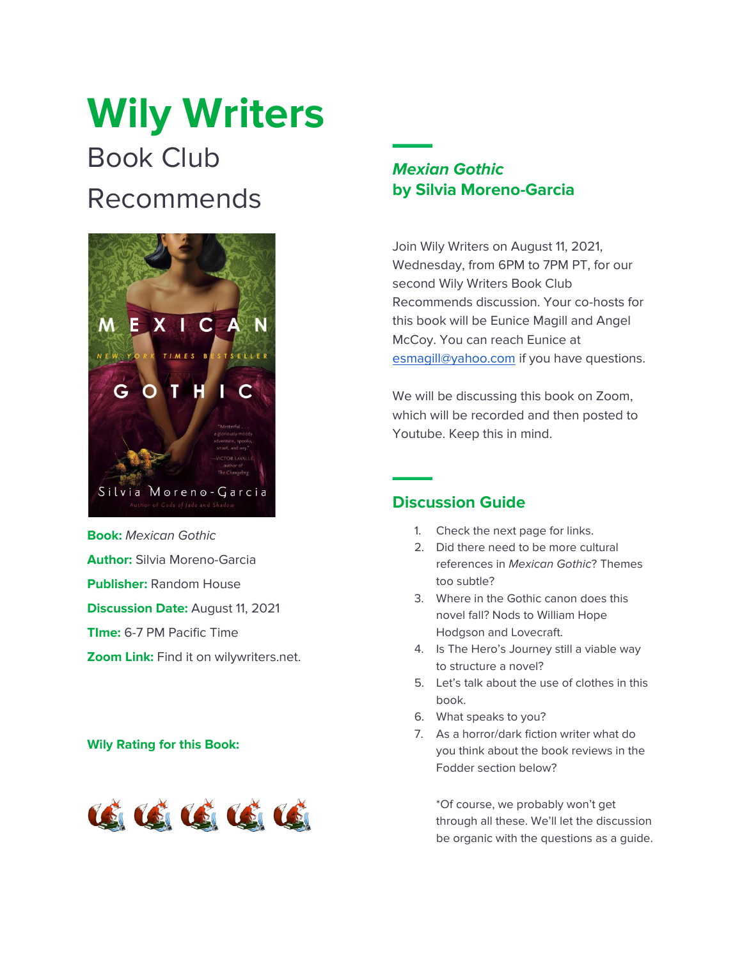# **Wily Writers** Book Club Recommends



**Book:** *Mexican Gothic* **Author:** Silvia Moreno-Garcia **Publisher:** Random House **Discussion Date:** August 11, 2021 **TIme:** 6-7 PM Pacific Time **Zoom Link:** Find it on wilywriters.net.

#### **Wily Rating for this Book:**



## *Mexian Gothic* **by Silvia Moreno-Garcia**

Join Wily Writers on August 11, 2021, Wednesday, from 6PM to 7PM PT, for our second Wily Writers Book Club Recommends discussion. Your co-hosts for this book will be Eunice Magill and Angel McCoy. You can reach Eunice at [esmagill@yahoo.com](mailto:esmagill@yahoo.com) if you have questions.

We will be discussing this book on Zoom, which will be recorded and then posted to Youtube. Keep this in mind.

## **Discussion Guide**

- 1. Check the next page for links.
- 2. Did there need to be more cultural references in *Mexican Gothic*? Themes too subtle?
- 3. Where in the Gothic canon does this novel fall? Nods to William Hope Hodgson and Lovecraft.
- 4. Is The Hero's Journey still a viable way to structure a novel?
- 5. Let's talk about the use of clothes in this book.
- 6. What speaks to you?
- 7. As a horror/dark fiction writer what do you think about the book reviews in the Fodder section below?

\*Of course, we probably won't get through all these. We'll let the discussion be organic with the questions as a guide.